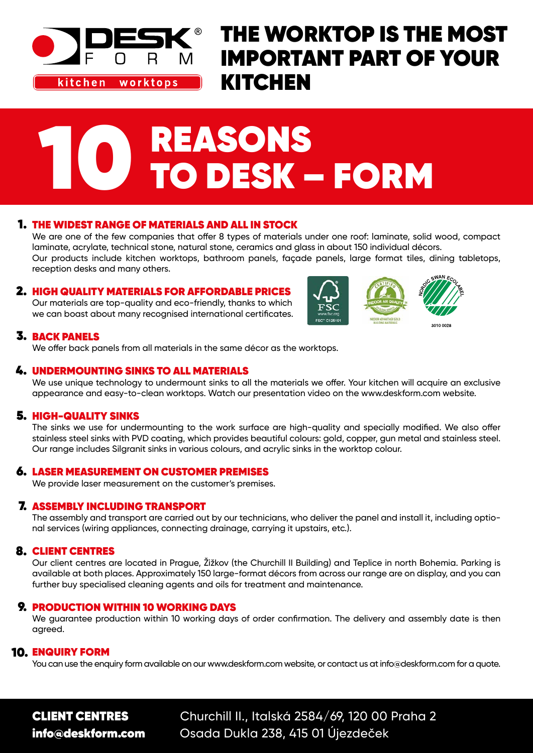

kitchen worktops

### THE WORKTOP IS THE MOST IMPORTANT PART OF YOUR **KITCHEN**

# **O REASONS<br>10 DESK – FORM**

#### 1. THE WIDEST RANGE OF MATERIALS AND ALL IN STOCK

We are one of the few companies that offer 8 types of materials under one roof: laminate, solid wood, compact laminate, acrylate, technical stone, natural stone, ceramics and glass in about 150 individual décors. Our products include kitchen worktops, bathroom panels, façade panels, large format tiles, dining tabletops, reception desks and many others.

#### 2. HIGH QUALITY MATERIALS FOR AFFORDABLE PRICES

Our materials are top-quality and eco-friendly, thanks to which we can boast about many recognised international certificates.



#### **3. BACK PANELS**

We offer back panels from all materials in the same décor as the worktops.

#### 4. UNDERMOUNTING SINKS TO ALL MATERIALS

We use unique technology to undermount sinks to all the materials we offer. Your kitchen will acquire an exclusive appearance and easy-to-clean worktops. Watch our presentation video on the www.deskform.com website.

#### 5. HIGH-QUALITY SINKS

The sinks we use for undermounting to the work surface are high-quality and specially modified. We also offer stainless steel sinks with PVD coating, which provides beautiful colours: gold, copper, gun metal and stainless steel. Our range includes Silgranit sinks in various colours, and acrylic sinks in the worktop colour.

#### **6. LASER MEASUREMENT ON CUSTOMER PREMISES**

We provide laser measurement on the customer's premises.

#### **7. ASSEMBLY INCLUDING TRANSPORT**

The assembly and transport are carried out by our technicians, who deliver the panel and install it, including optional services (wiring appliances, connecting drainage, carrying it upstairs, etc.).

#### 8. CLIENT CENTRES

Our client centres are located in Prague, Žižkov (the Churchill II Building) and Teplice in north Bohemia. Parking is available at both places. Approximately 150 large-format décors from across our range are on display, and you can further buy specialised cleaning agents and oils for treatment and maintenance.

#### **9. PRODUCTION WITHIN 10 WORKING DAYS**

We guarantee production within 10 working days of order confirmation. The delivery and assembly date is then agreed.

#### 10. ENQUIRY FORM

You can use the enquiry form available on our www.deskform.com website, or contact us at info@deskform.com for a quote.

CLIENT CENTRES Churchill II., Italská 2584/69, 120 00 Praha 2 info@deskform.com Osada Dukla 238, 415 01 Újezdeček